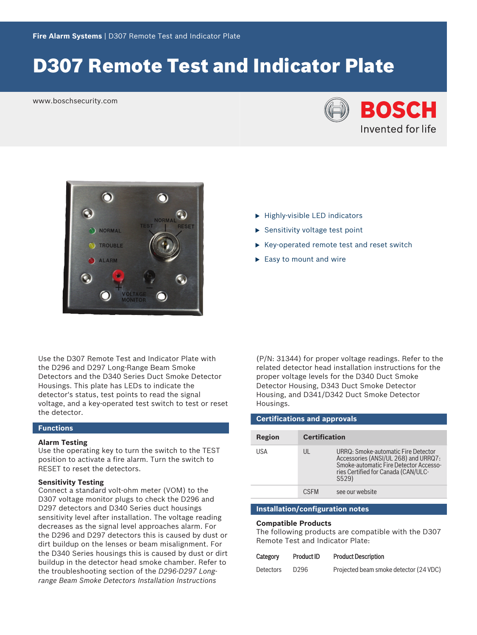# D307 Remote Test and Indicator Plate

www.boschsecurity.com





Use the D307 Remote Test and Indicator Plate with the D296 and D297 Long-Range Beam Smoke Detectors and the D340 Series Duct Smoke Detector Housings. This plate has LEDs to indicate the detector's status, test points to read the signal voltage, and a key-operated test switch to test or reset the detector.

# **Functions**

#### **Alarm Testing**

Use the operating key to turn the switch to the TEST position to activate a fire alarm. Turn the switch to RESET to reset the detectors.

# **Sensitivity Testing**

Connect a standard volt-ohm meter (VOM) to the D307 voltage monitor plugs to check the D296 and D297 detectors and D340 Series duct housings sensitivity level after installation. The voltage reading decreases as the signal level approaches alarm. For the D296 and D297 detectors this is caused by dust or dirt buildup on the lenses or beam misalignment. For the D340 Series housings this is caused by dust or dirt buildup in the detector head smoke chamber. Refer to the troubleshooting section of the *D296-D297 Longrange Beam Smoke Detectors Installation Instructions*

- $\blacktriangleright$  Highly-visible LED indicators
- $\blacktriangleright$  Sensitivity voltage test point
- $\triangleright$  Key-operated remote test and reset switch
- $\blacktriangleright$  Easy to mount and wire

(P/N: 31344) for proper voltage readings. Refer to the related detector head installation instructions for the proper voltage levels for the D340 Duct Smoke Detector Housing, D343 Duct Smoke Detector Housing, and D341/D342 Duct Smoke Detector Housings.

| <b>Certifications and approvals</b> |                      |                                                                                                                                                                       |  |  |
|-------------------------------------|----------------------|-----------------------------------------------------------------------------------------------------------------------------------------------------------------------|--|--|
|                                     |                      |                                                                                                                                                                       |  |  |
| <b>Region</b>                       | <b>Certification</b> |                                                                                                                                                                       |  |  |
| USA                                 | $\mathsf{III}$       | URRQ: Smoke-automatic Fire Detector<br>Accessories (ANSI/UL 268) and URRQ7:<br>Smoke-automatic Fire Detector Accesso-<br>ries Certified for Canada (CAN/ULC-<br>S529) |  |  |
|                                     | <b>CSEM</b>          | see our website                                                                                                                                                       |  |  |
|                                     |                      |                                                                                                                                                                       |  |  |

# **Installation/configuration notes**

### **Compatible Products**

The following products are compatible with the D307 Remote Test and Indicator Plate:

| Category         | Product ID | <b>Product Description</b>             |
|------------------|------------|----------------------------------------|
| <b>Detectors</b> | D296       | Projected beam smoke detector (24 VDC) |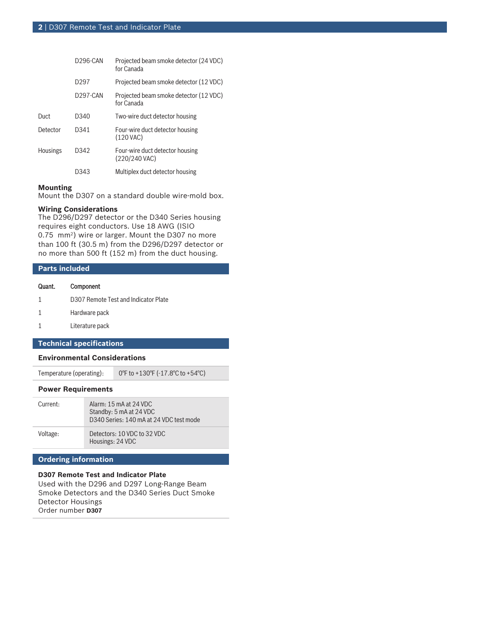|                 | D296-CAN         | Projected beam smoke detector (24 VDC)<br>for Canada |
|-----------------|------------------|------------------------------------------------------|
|                 | D <sub>297</sub> | Projected beam smoke detector (12 VDC)               |
|                 | D297-CAN         | Projected beam smoke detector (12 VDC)<br>for Canada |
| Duct            | D340             | Two-wire duct detector housing                       |
| Detector        | D341             | Four-wire duct detector housing<br>$(120$ VAC)       |
| <b>Housings</b> | D342             | Four-wire duct detector housing<br>(220/240 VAC)     |
|                 | D343             | Multiplex duct detector housing                      |

# **Mounting**

Mount the D307 on a standard double wire-mold box.

### **Wiring Considerations**

The D296/D297 detector or the D340 Series housing requires eight conductors. Use 18 AWG (ISIO 0.75 mm<sup>2</sup> ) wire or larger. Mount the D307 no more than 100 ft (30.5 m) from the D296/D297 detector or no more than 500 ft (152 m) from the duct housing.

# **Parts included**

# Quant. Component

- 1 D307 Remote Test and Indicator Plate
- 1 Hardware pack
- 1 Literature pack

# **Technical specifications**

### **Environmental Considerations**

Temperature (operating): 0°F to +130°F (-17.8°C to +54°C)

#### **Power Requirements**

| Current: | Alarm: 15 mA at 24 VDC<br>Standby: 5 mA at 24 VDC<br>D340 Series: 140 mA at 24 VDC test mode |
|----------|----------------------------------------------------------------------------------------------|
| Voltage: | Detectors: 10 VDC to 32 VDC<br>Housings: 24 VDC                                              |

# **Ordering information**

# **D307 Remote Test and Indicator Plate**

Used with the D296 and D297 Long-Range Beam Smoke Detectors and the D340 Series Duct Smoke Detector Housings Order number **D307**